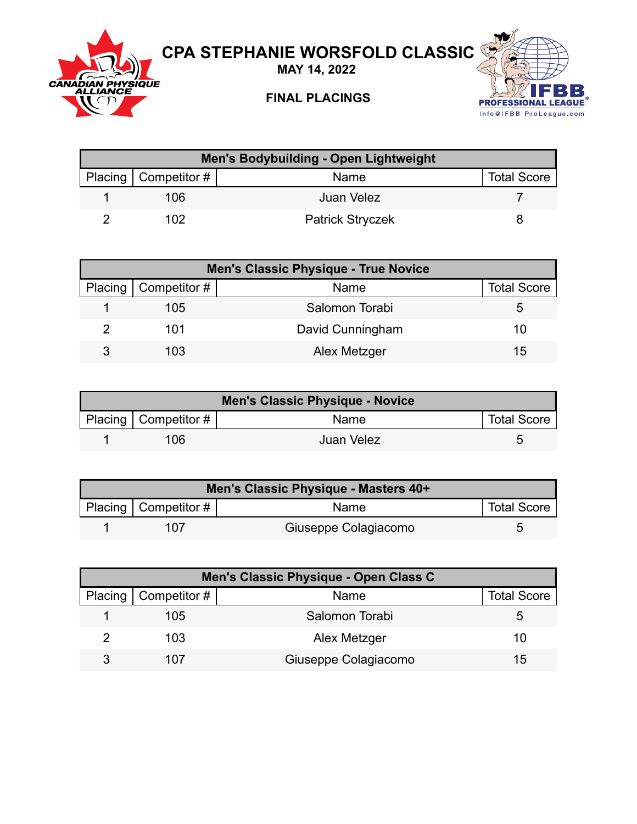

**MAY 14, 2022**



## **FINAL PLACINGS**



| Men's Bodybuilding - Open Lightweight |                        |                         |                    |  |
|---------------------------------------|------------------------|-------------------------|--------------------|--|
|                                       | Placing   Competitor # | Name                    | <b>Total Score</b> |  |
|                                       | 106                    | Juan Velez              |                    |  |
|                                       | 102                    | <b>Patrick Stryczek</b> |                    |  |

| <b>Men's Classic Physique - True Novice</b> |                  |                    |  |
|---------------------------------------------|------------------|--------------------|--|
| Placing $\vert$ Competitor #                | Name             | <b>Total Score</b> |  |
| 105                                         | Salomon Torabi   | :C                 |  |
| 101                                         | David Cunningham | 10                 |  |
| 103                                         | Alex Metzger     | 15                 |  |

| Men's Classic Physique - Novice |                        |            |                    |  |
|---------------------------------|------------------------|------------|--------------------|--|
|                                 | Placing   Competitor # | Name       | <b>Total Score</b> |  |
|                                 | 106                    | Juan Velez | ∽                  |  |

| Men's Classic Physique - Masters 40+ |                        |                      |                    |  |
|--------------------------------------|------------------------|----------------------|--------------------|--|
|                                      | Placing   Competitor # | <b>Name</b>          | <b>Total Score</b> |  |
|                                      | 107                    | Giuseppe Colagiacomo |                    |  |

| Men's Classic Physique - Open Class C |                      |                    |  |  |
|---------------------------------------|----------------------|--------------------|--|--|
| Placing   Competitor #                | Name                 | <b>Total Score</b> |  |  |
| 105                                   | Salomon Torabi       |                    |  |  |
| 103                                   | Alex Metzger         | 10                 |  |  |
| 107                                   | Giuseppe Colagiacomo | 15                 |  |  |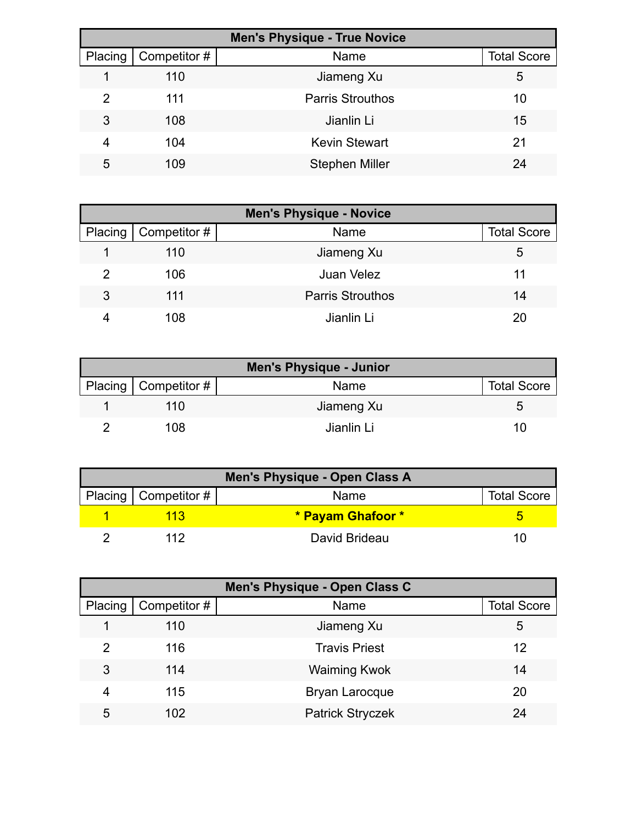| <b>Men's Physique - True Novice</b> |              |                         |                    |
|-------------------------------------|--------------|-------------------------|--------------------|
| Placing                             | Competitor # | Name                    | <b>Total Score</b> |
|                                     | 110          | Jiameng Xu              | 5                  |
| 2                                   | 111          | <b>Parris Strouthos</b> | 10                 |
| 3                                   | 108          | Jianlin Li              | 15                 |
| 4                                   | 104          | <b>Kevin Stewart</b>    | 21                 |
| 5                                   | 109          | <b>Stephen Miller</b>   | 24                 |

| <b>Men's Physique - Novice</b> |                     |                         |                    |
|--------------------------------|---------------------|-------------------------|--------------------|
| Placing                        | $\mid$ Competitor # | Name                    | <b>Total Score</b> |
|                                | 110                 | Jiameng Xu              | 5                  |
| 2                              | 106                 | Juan Velez              | 11                 |
| 3                              | 111                 | <b>Parris Strouthos</b> | 14                 |
|                                | 108                 | Jianlin Li              | 20                 |

|                        | <b>Men's Physique - Junior</b> |                    |
|------------------------|--------------------------------|--------------------|
| Placing   Competitor # | Name                           | <b>Total Score</b> |
| 110                    | Jiameng Xu                     |                    |
| 108                    | Jianlin Li                     | 10                 |

| <b>Men's Physique - Open Class A</b> |                        |                   |                    |  |
|--------------------------------------|------------------------|-------------------|--------------------|--|
|                                      | Placing   Competitor # | Name              | <b>Total Score</b> |  |
|                                      | 113                    | * Payam Ghafoor * |                    |  |
|                                      | 112                    | David Brideau     |                    |  |

|         | Men's Physique - Open Class C |                         |                    |  |  |
|---------|-------------------------------|-------------------------|--------------------|--|--|
| Placing | Competitor #                  | Name                    | <b>Total Score</b> |  |  |
|         | 110                           | Jiameng Xu              | 5                  |  |  |
| 2       | 116                           | <b>Travis Priest</b>    | 12                 |  |  |
| 3       | 114                           | <b>Waiming Kwok</b>     | 14                 |  |  |
| 4       | 115                           | <b>Bryan Larocque</b>   | 20                 |  |  |
| 5       | 102                           | <b>Patrick Stryczek</b> | 24                 |  |  |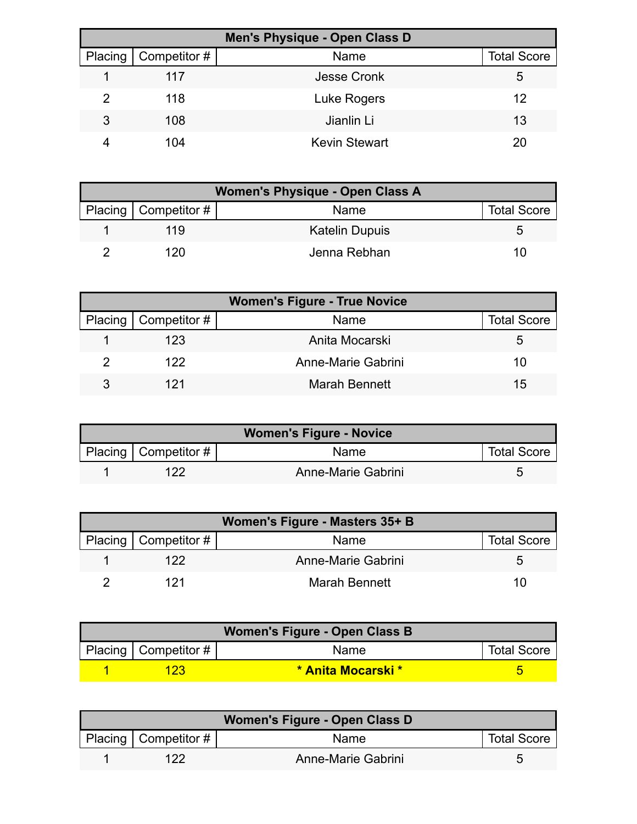|         | Men's Physique - Open Class D |                      |                    |  |
|---------|-------------------------------|----------------------|--------------------|--|
| Placing | Competitor #                  | Name                 | <b>Total Score</b> |  |
|         | 117                           | <b>Jesse Cronk</b>   | 5                  |  |
| 2       | 118                           | Luke Rogers          | 12                 |  |
| 3       | 108                           | Jianlin Li           | 13                 |  |
|         | 104                           | <b>Kevin Stewart</b> | 20                 |  |

| <b>Women's Physique - Open Class A</b> |                        |                       |                    |  |
|----------------------------------------|------------------------|-----------------------|--------------------|--|
|                                        | Placing   Competitor # | Name                  | <b>Total Score</b> |  |
|                                        | 119                    | <b>Katelin Dupuis</b> |                    |  |
|                                        | 120                    | Jenna Rebhan          |                    |  |

| <b>Women's Figure - True Novice</b> |                        |                      |                    |  |
|-------------------------------------|------------------------|----------------------|--------------------|--|
|                                     | Placing   Competitor # | Name                 | <b>Total Score</b> |  |
|                                     | 123                    | Anita Mocarski       | 5.                 |  |
|                                     | 122.                   | Anne-Marie Gabrini   | 10                 |  |
|                                     | 121                    | <b>Marah Bennett</b> | 15                 |  |

| <b>Women's Figure - Novice</b> |                        |                    |                    |  |
|--------------------------------|------------------------|--------------------|--------------------|--|
|                                | Placing   Competitor # | Name               | <b>Total Score</b> |  |
|                                | 122                    | Anne-Marie Gabrini |                    |  |

| Women's Figure - Masters 35+ B |                        |                    |                    |  |
|--------------------------------|------------------------|--------------------|--------------------|--|
|                                | Placing   Competitor # | <b>Name</b>        | <b>Total Score</b> |  |
|                                | 122                    | Anne-Marie Gabrini |                    |  |
|                                | 121                    | Marah Bennett      | 10                 |  |

| Women's Figure - Open Class B |                        |                           |                    |  |
|-------------------------------|------------------------|---------------------------|--------------------|--|
|                               | Placing   Competitor # | Name                      | <b>Total Score</b> |  |
|                               | 123                    | <b>* Anita Mocarski *</b> |                    |  |

| Women's Figure - Open Class D |                        |                    |                    |  |
|-------------------------------|------------------------|--------------------|--------------------|--|
|                               | Placing   Competitor # | <b>Name</b>        | <b>Total Score</b> |  |
|                               | 122                    | Anne-Marie Gabrini |                    |  |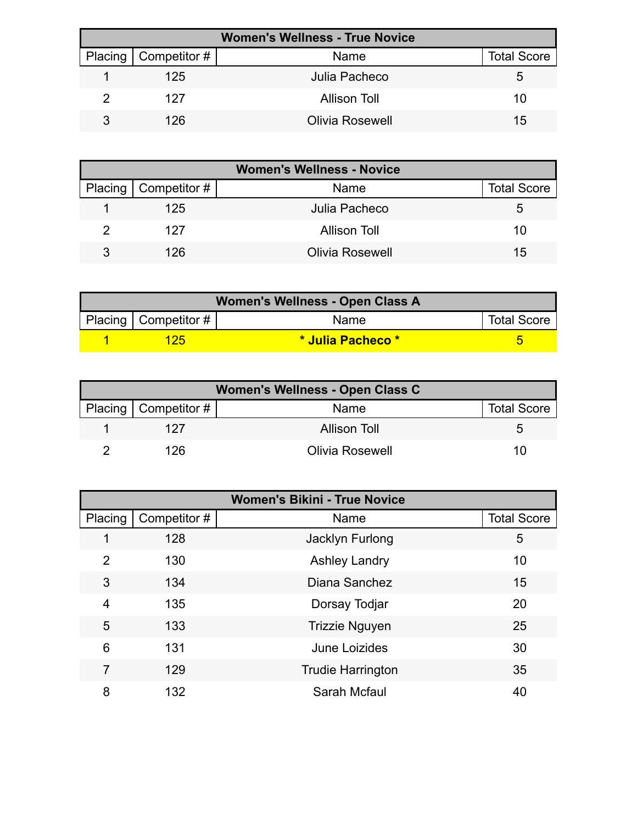| <b>Women's Wellness - True Novice</b> |                        |                        |                    |  |
|---------------------------------------|------------------------|------------------------|--------------------|--|
|                                       | Placing   Competitor # | Name                   | <b>Total Score</b> |  |
|                                       | 125                    | Julia Pacheco          | G                  |  |
|                                       | 127                    | Allison Toll           | 10                 |  |
|                                       | 126                    | <b>Olivia Rosewell</b> | 15                 |  |

| <b>Women's Wellness - Novice</b> |                        |                     |                    |  |
|----------------------------------|------------------------|---------------------|--------------------|--|
|                                  | Placing   Competitor # | Name                | <b>Total Score</b> |  |
|                                  | 125                    | Julia Pacheco       | 5.                 |  |
|                                  | 127                    | <b>Allison Toll</b> | 10                 |  |
|                                  | 126                    | Olivia Rosewell     | 15                 |  |

| Women's Wellness - Open Class A |                            |                   |                    |  |
|---------------------------------|----------------------------|-------------------|--------------------|--|
|                                 | Placing   Competitor # $ $ | <b>Name</b>       | <b>Total Score</b> |  |
|                                 | 125                        | * Julia Pacheco * |                    |  |

| Women's Wellness - Open Class C |                        |                        |                    |  |
|---------------------------------|------------------------|------------------------|--------------------|--|
|                                 | Placing   Competitor # | Name                   | <b>Total Score</b> |  |
|                                 | 127                    | <b>Allison Toll</b>    |                    |  |
|                                 | 126                    | <b>Olivia Rosewell</b> | 10                 |  |

| <b>Women's Bikini - True Novice</b> |              |                          |                    |
|-------------------------------------|--------------|--------------------------|--------------------|
| Placing                             | Competitor # | Name                     | <b>Total Score</b> |
|                                     | 128          | Jacklyn Furlong          | 5                  |
| $\mathcal{P}$                       | 130          | <b>Ashley Landry</b>     | 10                 |
| 3                                   | 134          | Diana Sanchez            | 15                 |
| $\overline{4}$                      | 135          | Dorsay Todjar            | 20                 |
| 5                                   | 133          | <b>Trizzie Nguyen</b>    | 25                 |
| 6                                   | 131          | June Loizides            | 30                 |
| 7                                   | 129          | <b>Trudie Harrington</b> | 35                 |
| 8                                   | 132          | Sarah Mcfaul             | 40                 |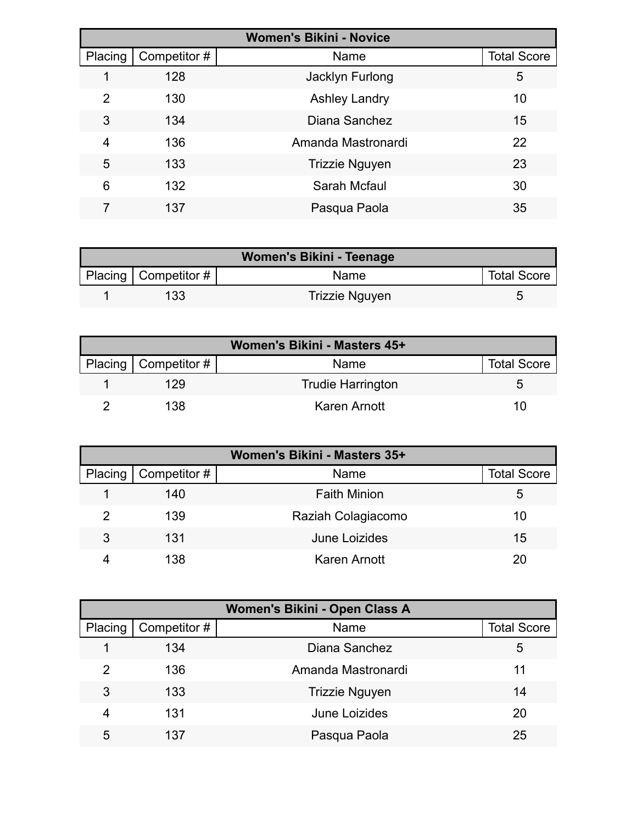| <b>Women's Bikini - Novice</b> |              |                       |                    |  |
|--------------------------------|--------------|-----------------------|--------------------|--|
| Placing                        | Competitor # | Name                  | <b>Total Score</b> |  |
|                                | 128          | Jacklyn Furlong       | 5                  |  |
| 2                              | 130          | <b>Ashley Landry</b>  | 10                 |  |
| 3                              | 134          | Diana Sanchez         | 15                 |  |
| 4                              | 136          | Amanda Mastronardi    | 22                 |  |
| 5                              | 133          | <b>Trizzie Nguyen</b> | 23                 |  |
| 6                              | 132          | Sarah Mcfaul          | 30                 |  |
|                                | 137          | Pasqua Paola          | 35                 |  |

| Women's Bikini - Teenage |                          |                |                    |  |
|--------------------------|--------------------------|----------------|--------------------|--|
|                          | Placing   Competitor $#$ | Name           | <b>Total Score</b> |  |
|                          | 133                      | Trizzie Nguyen |                    |  |

| Women's Bikini - Masters 45+ |                          |                          |                    |
|------------------------------|--------------------------|--------------------------|--------------------|
|                              | Placing   Competitor $#$ | Name                     | <b>Total Score</b> |
|                              | 129                      | <b>Trudie Harrington</b> |                    |
|                              | 138                      | Karen Arnott             | 10                 |

| Women's Bikini - Masters 35+ |                        |                     |                    |
|------------------------------|------------------------|---------------------|--------------------|
|                              | Placing   Competitor # | Name                | <b>Total Score</b> |
|                              | 140                    | <b>Faith Minion</b> | 5                  |
|                              | 139                    | Raziah Colagiacomo  | 10                 |
| 3                            | 131                    | June Loizides       | 15                 |
|                              | 138                    | <b>Karen Arnott</b> | 20                 |

| Women's Bikini - Open Class A |              |                       |                    |
|-------------------------------|--------------|-----------------------|--------------------|
| Placing                       | Competitor # | Name                  | <b>Total Score</b> |
|                               | 134          | Diana Sanchez         | 5                  |
| 2                             | 136          | Amanda Mastronardi    | 11                 |
| 3                             | 133          | <b>Trizzie Nguyen</b> | 14                 |
| 4                             | 131          | June Loizides         | 20                 |
| 5                             | 137          | Pasqua Paola          | 25                 |